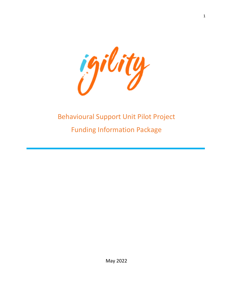

# Behavioural Support Unit Pilot Project Funding Information Package

May 2022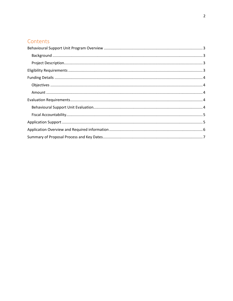# Contents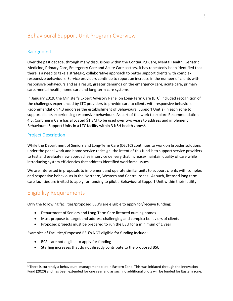# <span id="page-2-0"></span>Behavioural Support Unit Program Overview

### <span id="page-2-1"></span>Background

Over the past decade, through many discussions within the Continuing Care, Mental Health, Geriatric Medicine, Primary Care, Emergency Care and Acute Care sectors, it has repeatedly been identified that there is a need to take a strategic, collaborative approach to better support clients with complex responsive behaviours. Service providers continue to report an increase in the number of clients with responsive behaviours and as a result, greater demands on the emergency care, acute care, primary care, mental health, home care and long-term care systems.

In January 2019, the Minister's Expert Advisory Panel on Long-Term Care (LTC) included recognition of the challenges experienced by LTC providers to provide care to clients with responsive behaviors. Recommendation 4.3 endorses the establishment of Behavioural Support Unit(s) in each zone to support clients experiencing responsive behaviours. As part of the work to explore Recommendation 4.3, Continuing Care has allocated \$1.8M to be used over two years to address and implement Behavioural Support Units in a LTC facility within 3 NSH health zones<sup>1</sup>.

### <span id="page-2-2"></span>Project Description

While the Department of Seniors and Long-Term Care (DSLTC) continues to work on broader solutions under the panel work and home service redesign, the intent of this fund is to support service providers to test and evaluate new approaches in service delivery that increase/maintain quality of care while introducing system efficiencies that address identified workforce issues.

We are interested in proposals to implement and operate similar units to support clients with complex and responsive behaviours in the Northern, Western and Central zones. As such, licensed long term care facilities are invited to apply for funding to pilot a Behavioural Support Unit within their facility.

## <span id="page-2-3"></span>Eligibility Requirements

Only the following facilities/proposed BSU's are eligible to apply for/receive funding:

- Department of Seniors and Long-Term Care licenced nursing homes
- Must propose to target and address challenging and complex behaviors of clients
- Proposed projects must be prepared to run the BSU for a minimum of 1 year

Examples of Facilities/Proposed BSU's NOT eligible for funding include:

- RCF's are not eligible to apply for funding
- Staffing increases that do not directly contribute to the proposed BSU

 $1$  There is currently a behavioural management pilot in Eastern Zone. This was initiated through the Innovation Fund (2020) and has been extended for one year and as such no additional pilots will be funded for Eastern zone.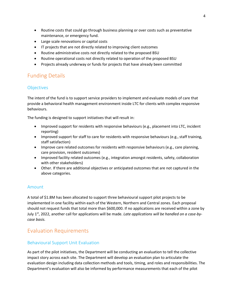- Routine costs that could go through business planning or over costs such as preventative maintenance, or emergency fund.
- Large scale renovations or capital costs
- IT projects that are not directly related to improving client outcomes
- Routine administrative costs not directly related to the proposed BSU
- Routine operational costs not directly related to operation of the proposed BSU
- Projects already underway or funds for projects that have already been committed

# <span id="page-3-0"></span>Funding Details

### <span id="page-3-1"></span>**Objectives**

The intent of the fund is to support service providers to implement and evaluate models of care that provide a behavioral health management environment inside LTC for clients with complex responsive behaviours.

The funding is designed to support initiatives that will result in:

- Improved support for residents with responsive behaviours (e.g., placement into LTC, incident reporting)
- Improved support for staff to care for residents with responsive behaviours (e.g., staff training, staff satisfaction)
- Improve care related outcomes for residents with responsive behaviours (e.g., care planning, care provision, resident outcomes)
- Improved facility related outcomes (e.g., integration amongst residents, safety, collaboration with other stakeholders)
- Other. If there are additional objectives or anticipated outcomes that are not captured in the above categories.

### <span id="page-3-2"></span>Amount

A total of \$1.8M has been allocated to support three behavioural support pilot projects to be implemented in one facility within each of the Western, Northern and Central zones. Each proposal should not request funds that total more than \$600,000. If no applications are received within a zone by July 1st, 2022, another call for applications will be made. *Late applications will be handled on a case-bycase basis.* 

# <span id="page-3-3"></span>Evaluation Requirements

### <span id="page-3-4"></span>Behavioural Support Unit Evaluation

As part of the pilot initiatives, the Department will be conducting an evaluation to tell the collective impact story across each site. The Department will develop an evaluation plan to articulate the evaluation design including data collection methods and tools, timing, and roles and responsibilities. The Department's evaluation will also be informed by performance measurements that each of the pilot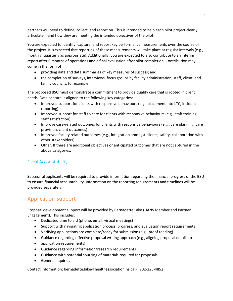partners will need to define, collect, and report on. This is intended to help each pilot project clearly articulate if and how they are meeting the intended objectives of the pilot.

You are expected to identify, capture, and report key performance measurements over the course of the project. It is expected that reporting of these measurements will take place at regular intervals (e.g., monthly, quarterly as appropriate). Additionally, you are expected to also contribute to an interim report after 6 months of operations and a final evaluation after pilot completion. Contribution may come in the form of

- providing data and data summaries of key measures of success; and
- the completion of surveys, interviews, focus groups by facility administration, staff, client, and family councils, for example.

The proposed BSU must demonstrate a commitment to provide quality care that is rooted in client needs. Data capture is aligned to the following key categories:

- Improved support for clients with responsive behaviours (e.g., placement into LTC, incident reporting)
- Improved support for staff to care for clients with responsive behaviours (e.g., staff training, staff satisfaction)
- Improve care-related outcomes for clients with responsive behaviours (e.g., care planning, care provision, client outcomes)
- Improved facility related outcomes (e.g., integration amongst clients, safety, collaboration with other stakeholders)
- Other. If there are additional objectives or anticipated outcomes that are not captured in the above categories.

### <span id="page-4-0"></span>Fiscal Accountability

Successful applicants will be required to provide information regarding the financial progress of the BSU to ensure financial accountability. Information on the reporting requirements and timelines will be provided separately.

# <span id="page-4-1"></span>Application Support

Proposal development support will be provided by Bernadette Lake (HANS Member and Partner Engagement). This includes:

- Dedicated time to aid (phone, email, virtual meetings)
- Support with navigating application process, progress, and evaluation report requirements
- Verifying applications are complete/ready for submission (e.g., proof reading)
- Guidance regarding effective proposal writing approach (e.g., aligning proposal details to
- application requirements)
- Guidance regarding information/research requirements
- Guidance with potential sourcing of materials required for proposals
- General inquiries

Contact Information: bernadette.lake@healthassociation.ns.ca P: 902-225-4852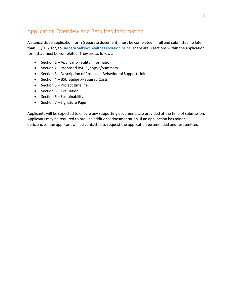# <span id="page-5-0"></span>Application Overview and Required information

A standardized application form (separate document) must be completed in full and submitted no later than July 1, 2022, to Barbara. Salkin@healthassociation.ns.ca. There are 8 sections within the application form that must be completed. They are as follows:

- Section 1 Applicant/Facility Information
- Section 2 Proposed BSU Synopsis/Summary
- Section 3 Description of Proposed Behavioural Support Unit
- Section 4 BSU Budget/Required Costs
- Section 5 Project timeline
- Section 5 Evaluation
- Section 6 Sustainability
- Section 7 Signature Page

Applicants will be expected to ensure any supporting documents are provided at the time of submission. Applicants may be required to provide additional documentation. If an application has minor deficiencies, the applicant will be contacted to request the application be amended and resubmitted.